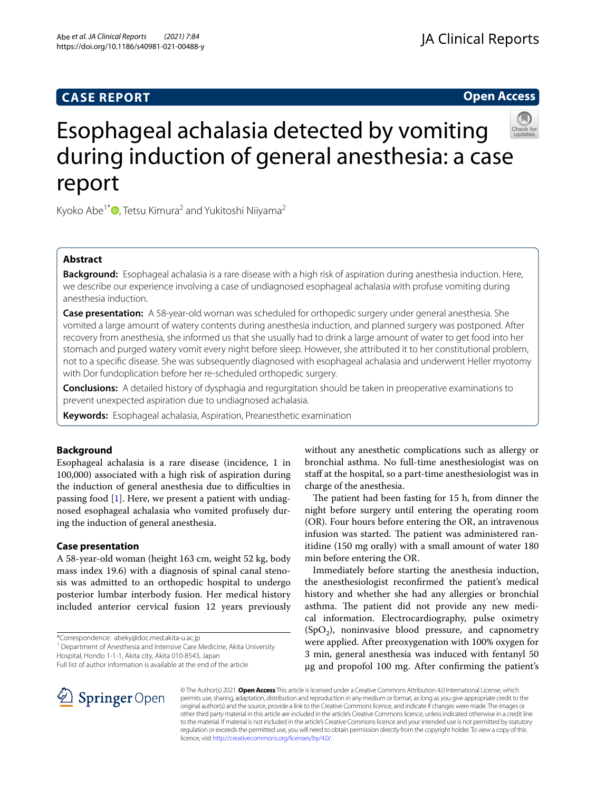# **CASE REPORT**

# **Open Access**



# Esophageal achalasia detected by vomiting during induction of general anesthesia: a case report

Kyoko Abe<sup>1\*</sup><sup> $\bullet$ </sup>[,](http://orcid.org/0000-0002-1122-6844) Tetsu Kimura<sup>2</sup> and Yukitoshi Niiyama<sup>2</sup>

# **Abstract**

**Background:** Esophageal achalasia is a rare disease with a high risk of aspiration during anesthesia induction. Here, we describe our experience involving a case of undiagnosed esophageal achalasia with profuse vomiting during anesthesia induction.

**Case presentation:** A 58-year-old woman was scheduled for orthopedic surgery under general anesthesia. She vomited a large amount of watery contents during anesthesia induction, and planned surgery was postponed. After recovery from anesthesia, she informed us that she usually had to drink a large amount of water to get food into her stomach and purged watery vomit every night before sleep. However, she attributed it to her constitutional problem, not to a specifc disease. She was subsequently diagnosed with esophageal achalasia and underwent Heller myotomy with Dor fundoplication before her re-scheduled orthopedic surgery.

**Conclusions:** A detailed history of dysphagia and regurgitation should be taken in preoperative examinations to prevent unexpected aspiration due to undiagnosed achalasia.

**Keywords:** Esophageal achalasia, Aspiration, Preanesthetic examination

# **Background**

Esophageal achalasia is a rare disease (incidence, 1 in 100,000) associated with a high risk of aspiration during the induction of general anesthesia due to difficulties in passing food [\[1](#page-3-0)]. Here, we present a patient with undiagnosed esophageal achalasia who vomited profusely during the induction of general anesthesia.

## **Case presentation**

A 58-year-old woman (height 163 cm, weight 52 kg, body mass index 19.6) with a diagnosis of spinal canal stenosis was admitted to an orthopedic hospital to undergo posterior lumbar interbody fusion. Her medical history included anterior cervical fusion 12 years previously

\*Correspondence: abeky@doc.med.akita-u.ac.jp

<sup>1</sup> Department of Anesthesia and Intensive Care Medicine, Akita University Hospital, Hondo 1-1-1, Akita city, Akita 010-8543, Japan

Full list of author information is available at the end of the article

without any anesthetic complications such as allergy or bronchial asthma. No full-time anesthesiologist was on staff at the hospital, so a part-time anesthesiologist was in charge of the anesthesia.

The patient had been fasting for 15 h, from dinner the night before surgery until entering the operating room (OR). Four hours before entering the OR, an intravenous infusion was started. The patient was administered ranitidine (150 mg orally) with a small amount of water 180 min before entering the OR.

Immediately before starting the anesthesia induction, the anesthesiologist reconfrmed the patient's medical history and whether she had any allergies or bronchial asthma. The patient did not provide any new medical information. Electrocardiography, pulse oximetry  $(SpO<sub>2</sub>)$ , noninvasive blood pressure, and capnometry were applied. After preoxygenation with 100% oxygen for 3 min, general anesthesia was induced with fentanyl 50 μg and propofol 100 mg. After confrming the patient's



© The Author(s) 2021. **Open Access** This article is licensed under a Creative Commons Attribution 4.0 International License, which permits use, sharing, adaptation, distribution and reproduction in any medium or format, as long as you give appropriate credit to the original author(s) and the source, provide a link to the Creative Commons licence, and indicate if changes were made. The images or other third party material in this article are included in the article's Creative Commons licence, unless indicated otherwise in a credit line to the material. If material is not included in the article's Creative Commons licence and your intended use is not permitted by statutory regulation or exceeds the permitted use, you will need to obtain permission directly from the copyright holder. To view a copy of this licence, visit [http://creativecommons.org/licenses/by/4.0/.](http://creativecommons.org/licenses/by/4.0/)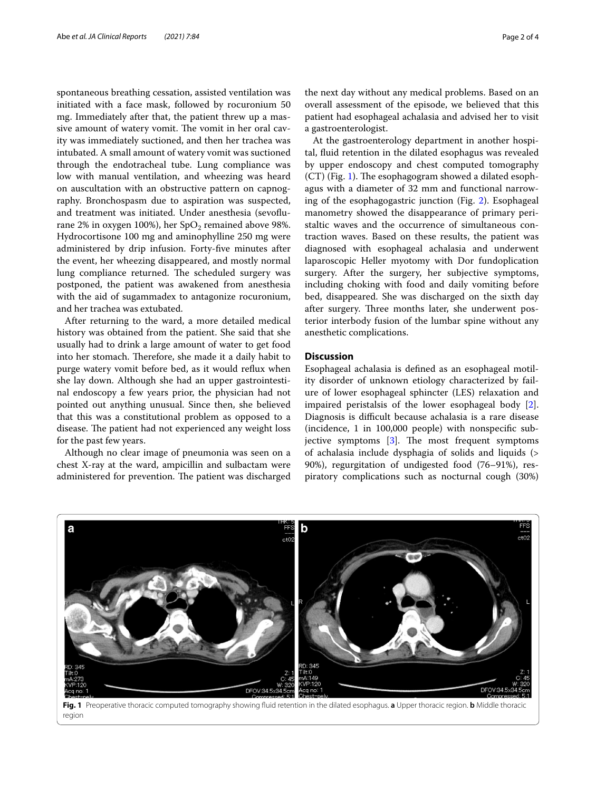spontaneous breathing cessation, assisted ventilation was initiated with a face mask, followed by rocuronium 50 mg. Immediately after that, the patient threw up a massive amount of watery vomit. The vomit in her oral cavity was immediately suctioned, and then her trachea was intubated. A small amount of watery vomit was suctioned through the endotracheal tube. Lung compliance was low with manual ventilation, and wheezing was heard on auscultation with an obstructive pattern on capnography. Bronchospasm due to aspiration was suspected, and treatment was initiated. Under anesthesia (sevofurane 2% in oxygen 100%), her  $SpO<sub>2</sub>$  remained above 98%. Hydrocortisone 100 mg and aminophylline 250 mg were administered by drip infusion. Forty-fve minutes after the event, her wheezing disappeared, and mostly normal lung compliance returned. The scheduled surgery was postponed, the patient was awakened from anesthesia with the aid of sugammadex to antagonize rocuronium, and her trachea was extubated.

After returning to the ward, a more detailed medical history was obtained from the patient. She said that she usually had to drink a large amount of water to get food into her stomach. Therefore, she made it a daily habit to purge watery vomit before bed, as it would refux when she lay down. Although she had an upper gastrointestinal endoscopy a few years prior, the physician had not pointed out anything unusual. Since then, she believed that this was a constitutional problem as opposed to a disease. The patient had not experienced any weight loss for the past few years.

Although no clear image of pneumonia was seen on a chest X-ray at the ward, ampicillin and sulbactam were administered for prevention. The patient was discharged

the next day without any medical problems. Based on an overall assessment of the episode, we believed that this patient had esophageal achalasia and advised her to visit a gastroenterologist.

At the gastroenterology department in another hospital, fuid retention in the dilated esophagus was revealed by upper endoscopy and chest computed tomography  $(CT)$  (Fig. [1](#page-1-0)). The esophagogram showed a dilated esophagus with a diameter of 32 mm and functional narrowing of the esophagogastric junction (Fig. [2](#page-2-0)). Esophageal manometry showed the disappearance of primary peristaltic waves and the occurrence of simultaneous contraction waves. Based on these results, the patient was diagnosed with esophageal achalasia and underwent laparoscopic Heller myotomy with Dor fundoplication surgery. After the surgery, her subjective symptoms, including choking with food and daily vomiting before bed, disappeared. She was discharged on the sixth day after surgery. Three months later, she underwent posterior interbody fusion of the lumbar spine without any anesthetic complications.

## **Discussion**

Esophageal achalasia is defned as an esophageal motility disorder of unknown etiology characterized by failure of lower esophageal sphincter (LES) relaxation and impaired peristalsis of the lower esophageal body [\[2](#page-3-1)]. Diagnosis is difficult because achalasia is a rare disease (incidence, 1 in 100,000 people) with nonspecifc subjective symptoms  $[3]$  $[3]$  $[3]$ . The most frequent symptoms of achalasia include dysphagia of solids and liquids (> 90%), regurgitation of undigested food (76–91%), respiratory complications such as nocturnal cough (30%)



<span id="page-1-0"></span>region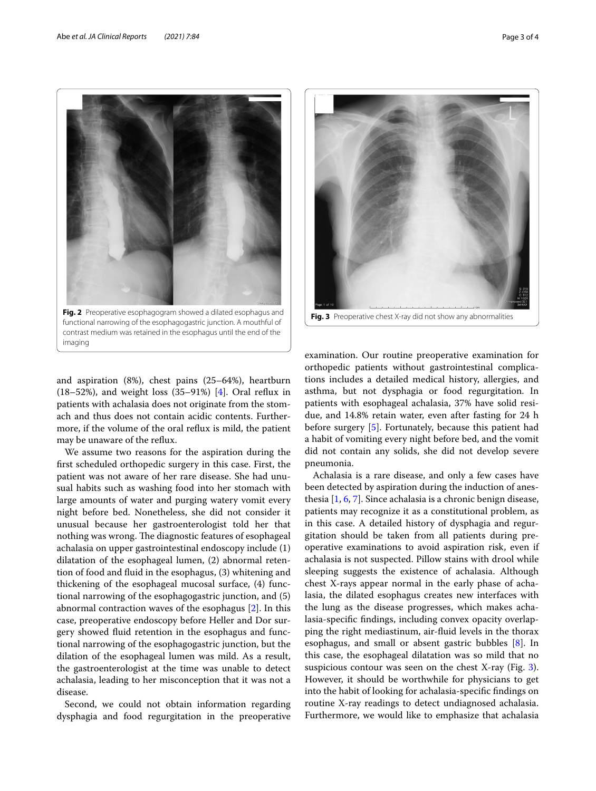

<span id="page-2-0"></span>and aspiration (8%), chest pains (25–64%), heartburn  $(18–52%)$ , and weight loss  $(35–91%)$  [[4\]](#page-3-3). Oral reflux in patients with achalasia does not originate from the stomach and thus does not contain acidic contents. Furthermore, if the volume of the oral refux is mild, the patient may be unaware of the refux.

We assume two reasons for the aspiration during the frst scheduled orthopedic surgery in this case. First, the patient was not aware of her rare disease. She had unusual habits such as washing food into her stomach with large amounts of water and purging watery vomit every night before bed. Nonetheless, she did not consider it unusual because her gastroenterologist told her that nothing was wrong. The diagnostic features of esophageal achalasia on upper gastrointestinal endoscopy include (1) dilatation of the esophageal lumen, (2) abnormal retention of food and fuid in the esophagus, (3) whitening and thickening of the esophageal mucosal surface, (4) functional narrowing of the esophagogastric junction, and (5) abnormal contraction waves of the esophagus [[2\]](#page-3-1). In this case, preoperative endoscopy before Heller and Dor surgery showed fuid retention in the esophagus and functional narrowing of the esophagogastric junction, but the dilation of the esophageal lumen was mild. As a result, the gastroenterologist at the time was unable to detect achalasia, leading to her misconception that it was not a disease.

Second, we could not obtain information regarding dysphagia and food regurgitation in the preoperative



<span id="page-2-1"></span>examination. Our routine preoperative examination for orthopedic patients without gastrointestinal complications includes a detailed medical history, allergies, and asthma, but not dysphagia or food regurgitation. In patients with esophageal achalasia, 37% have solid residue, and 14.8% retain water, even after fasting for 24 h before surgery [\[5](#page-3-4)]. Fortunately, because this patient had a habit of vomiting every night before bed, and the vomit did not contain any solids, she did not develop severe pneumonia.

Achalasia is a rare disease, and only a few cases have been detected by aspiration during the induction of anesthesia [\[1](#page-3-0), [6](#page-3-5), [7\]](#page-3-6). Since achalasia is a chronic benign disease, patients may recognize it as a constitutional problem, as in this case. A detailed history of dysphagia and regurgitation should be taken from all patients during preoperative examinations to avoid aspiration risk, even if achalasia is not suspected. Pillow stains with drool while sleeping suggests the existence of achalasia. Although chest X-rays appear normal in the early phase of achalasia, the dilated esophagus creates new interfaces with the lung as the disease progresses, which makes achalasia-specifc fndings, including convex opacity overlapping the right mediastinum, air-fuid levels in the thorax esophagus, and small or absent gastric bubbles [\[8](#page-3-7)]. In this case, the esophageal dilatation was so mild that no suspicious contour was seen on the chest X-ray (Fig. [3](#page-2-1)). However, it should be worthwhile for physicians to get into the habit of looking for achalasia-specifc fndings on routine X-ray readings to detect undiagnosed achalasia. Furthermore, we would like to emphasize that achalasia